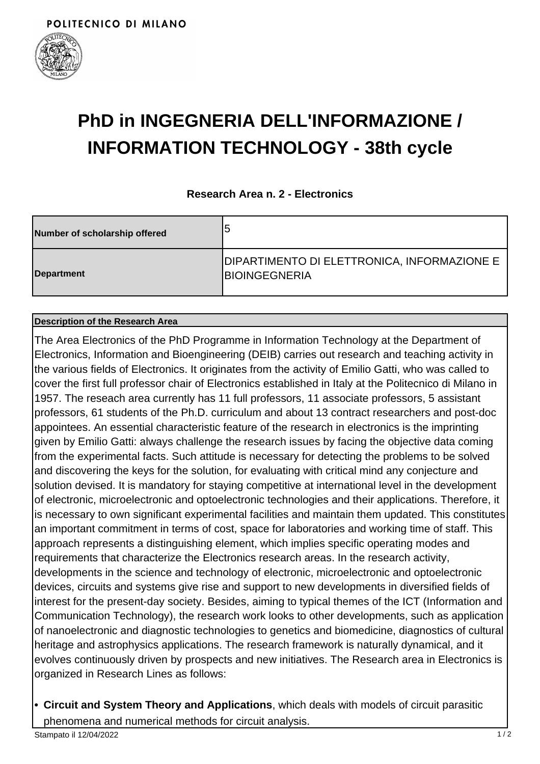

# **PhD in INGEGNERIA DELL'INFORMAZIONE / INFORMATION TECHNOLOGY - 38th cycle**

### **Research Area n. 2 - Electronics**

| Number of scholarship offered | 5                                                                   |
|-------------------------------|---------------------------------------------------------------------|
| Department                    | DIPARTIMENTO DI ELETTRONICA, INFORMAZIONE E<br><b>BIOINGEGNERIA</b> |

#### **Description of the Research Area**

The Area Electronics of the PhD Programme in Information Technology at the Department of Electronics, Information and Bioengineering (DEIB) carries out research and teaching activity in the various fields of Electronics. It originates from the activity of Emilio Gatti, who was called to cover the first full professor chair of Electronics established in Italy at the Politecnico di Milano in 1957. The reseach area currently has 11 full professors, 11 associate professors, 5 assistant professors, 61 students of the Ph.D. curriculum and about 13 contract researchers and post-doc appointees. An essential characteristic feature of the research in electronics is the imprinting given by Emilio Gatti: always challenge the research issues by facing the objective data coming from the experimental facts. Such attitude is necessary for detecting the problems to be solved and discovering the keys for the solution, for evaluating with critical mind any conjecture and solution devised. It is mandatory for staying competitive at international level in the development of electronic, microelectronic and optoelectronic technologies and their applications. Therefore, it is necessary to own significant experimental facilities and maintain them updated. This constitutes an important commitment in terms of cost, space for laboratories and working time of staff. This approach represents a distinguishing element, which implies specific operating modes and requirements that characterize the Electronics research areas. In the research activity, developments in the science and technology of electronic, microelectronic and optoelectronic devices, circuits and systems give rise and support to new developments in diversified fields of interest for the present-day society. Besides, aiming to typical themes of the ICT (Information and Communication Technology), the research work looks to other developments, such as application of nanoelectronic and diagnostic technologies to genetics and biomedicine, diagnostics of cultural heritage and astrophysics applications. The research framework is naturally dynamical, and it evolves continuously driven by prospects and new initiatives. The Research area in Electronics is organized in Research Lines as follows:

**Circuit and System Theory and Applications**, which deals with models of circuit parasitic **•** phenomena and numerical methods for circuit analysis.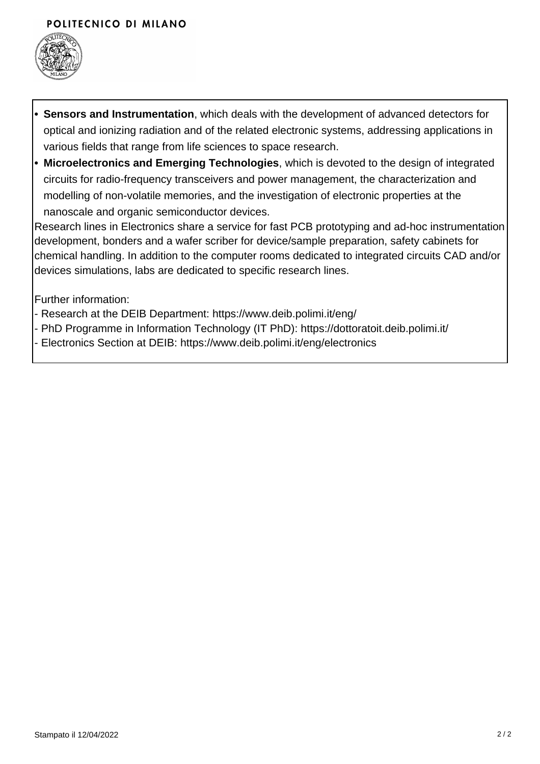## POLITECNICO DI MILANO



- **Sensors and Instrumentation**, which deals with the development of advanced detectors for optical and ionizing radiation and of the related electronic systems, addressing applications in various fields that range from life sciences to space research. **•**
- **Microelectronics and Emerging Technologies**, which is devoted to the design of integrated **•** circuits for radio-frequency transceivers and power management, the characterization and modelling of non-volatile memories, and the investigation of electronic properties at the nanoscale and organic semiconductor devices.

Research lines in Electronics share a service for fast PCB prototyping and ad-hoc instrumentation development, bonders and a wafer scriber for device/sample preparation, safety cabinets for chemical handling. In addition to the computer rooms dedicated to integrated circuits CAD and/or devices simulations, labs are dedicated to specific research lines.

Further information:

- Research at the DEIB Department: https://www.deib.polimi.it/eng/
- PhD Programme in Information Technology (IT PhD): https://dottoratoit.deib.polimi.it/
- Electronics Section at DEIB: https://www.deib.polimi.it/eng/electronics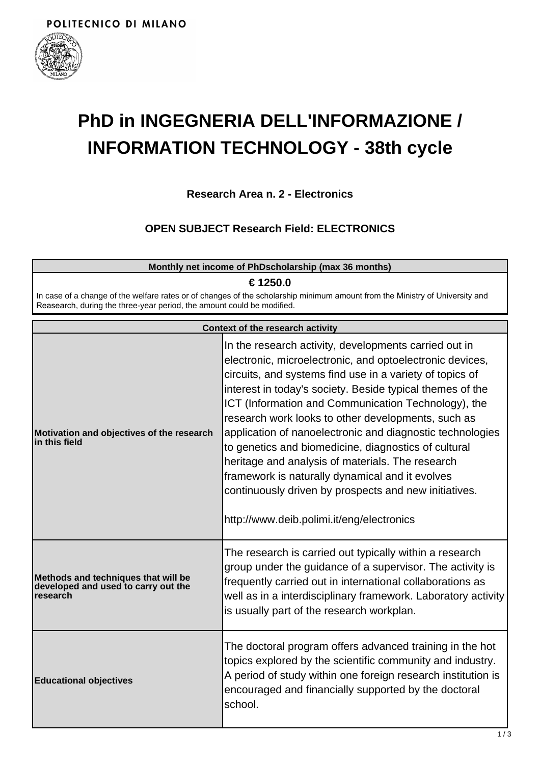

# **PhD in INGEGNERIA DELL'INFORMAZIONE / INFORMATION TECHNOLOGY - 38th cycle**

**Research Area n. 2 - Electronics**

# **OPEN SUBJECT Research Field: ELECTRONICS**

|                                                                                                                                                                                                                    | Monthly net income of PhDscholarship (max 36 months)                                                                                                                                                                                                                                                                                                                                                                                                                                                                                                                                                                                                                                      |  |  |
|--------------------------------------------------------------------------------------------------------------------------------------------------------------------------------------------------------------------|-------------------------------------------------------------------------------------------------------------------------------------------------------------------------------------------------------------------------------------------------------------------------------------------------------------------------------------------------------------------------------------------------------------------------------------------------------------------------------------------------------------------------------------------------------------------------------------------------------------------------------------------------------------------------------------------|--|--|
| € 1250.0<br>In case of a change of the welfare rates or of changes of the scholarship minimum amount from the Ministry of University and<br>Reasearch, during the three-year period, the amount could be modified. |                                                                                                                                                                                                                                                                                                                                                                                                                                                                                                                                                                                                                                                                                           |  |  |
| <b>Context of the research activity</b>                                                                                                                                                                            |                                                                                                                                                                                                                                                                                                                                                                                                                                                                                                                                                                                                                                                                                           |  |  |
| Motivation and objectives of the research<br>in this field                                                                                                                                                         | In the research activity, developments carried out in<br>electronic, microelectronic, and optoelectronic devices,<br>circuits, and systems find use in a variety of topics of<br>interest in today's society. Beside typical themes of the<br>ICT (Information and Communication Technology), the<br>research work looks to other developments, such as<br>application of nanoelectronic and diagnostic technologies<br>to genetics and biomedicine, diagnostics of cultural<br>heritage and analysis of materials. The research<br>framework is naturally dynamical and it evolves<br>continuously driven by prospects and new initiatives.<br>http://www.deib.polimi.it/eng/electronics |  |  |
| Methods and techniques that will be<br>developed and used to carry out the<br>research                                                                                                                             | The research is carried out typically within a research<br>group under the guidance of a supervisor. The activity is<br>frequently carried out in international collaborations as<br>well as in a interdisciplinary framework. Laboratory activity<br>is usually part of the research workplan.                                                                                                                                                                                                                                                                                                                                                                                           |  |  |
| <b>Educational objectives</b>                                                                                                                                                                                      | The doctoral program offers advanced training in the hot<br>topics explored by the scientific community and industry.<br>A period of study within one foreign research institution is<br>encouraged and financially supported by the doctoral<br>school.                                                                                                                                                                                                                                                                                                                                                                                                                                  |  |  |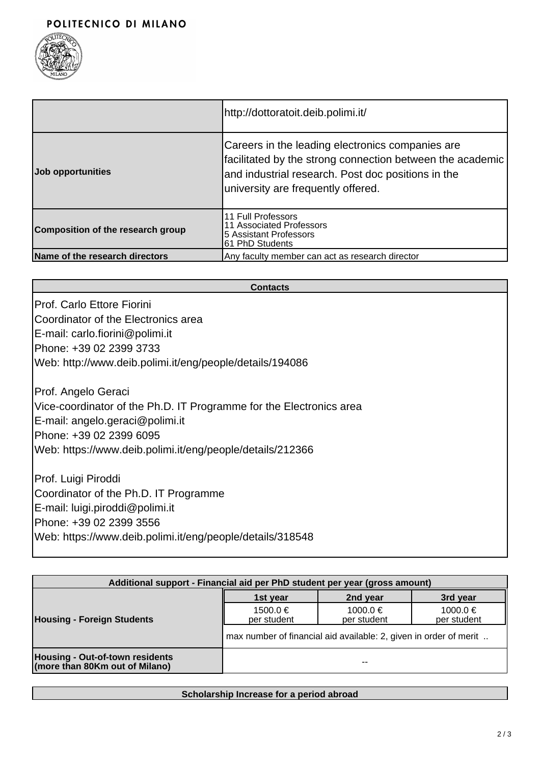

|                                   | http://dottoratoit.deib.polimi.it/                                                                                                                                                                           |
|-----------------------------------|--------------------------------------------------------------------------------------------------------------------------------------------------------------------------------------------------------------|
| Job opportunities                 | Careers in the leading electronics companies are<br> facilitated by the strong connection between the academic  <br>and industrial research. Post doc positions in the<br>university are frequently offered. |
| Composition of the research group | 11 Full Professors<br>11 Associated Professors<br>5 Assistant Professors<br>61 PhD Students                                                                                                                  |
| Name of the research directors    | Any faculty member can act as research director                                                                                                                                                              |

#### **Contacts**

Prof. Carlo Ettore Fiorini Coordinator of the Electronics area E-mail: carlo.fiorini@polimi.it Phone: +39 02 2399 3733 Web: http://www.deib.polimi.it/eng/people/details/194086

Prof. Angelo Geraci Vice-coordinator of the Ph.D. IT Programme for the Electronics area E-mail: angelo.geraci@polimi.it Phone: +39 02 2399 6095 Web: https://www.deib.polimi.it/eng/people/details/212366

Prof. Luigi Piroddi Coordinator of the Ph.D. IT Programme E-mail: luigi.piroddi@polimi.it Phone: +39 02 2399 3556 Web: https://www.deib.polimi.it/eng/people/details/318548

| Additional support - Financial aid per PhD student per year (gross amount) |                                                                   |                         |                             |  |
|----------------------------------------------------------------------------|-------------------------------------------------------------------|-------------------------|-----------------------------|--|
| <b>Housing - Foreign Students</b>                                          | 1st year                                                          | 2nd year                | 3rd year                    |  |
|                                                                            | $1500.0 \in$<br>per student                                       | 1000.0 €<br>per student | $1000.0 \in$<br>per student |  |
|                                                                            | max number of financial aid available: 2, given in order of merit |                         |                             |  |
| <b>Housing - Out-of-town residents</b><br>(more than 80Km out of Milano)   |                                                                   | --                      |                             |  |

#### **Scholarship Increase for a period abroad**